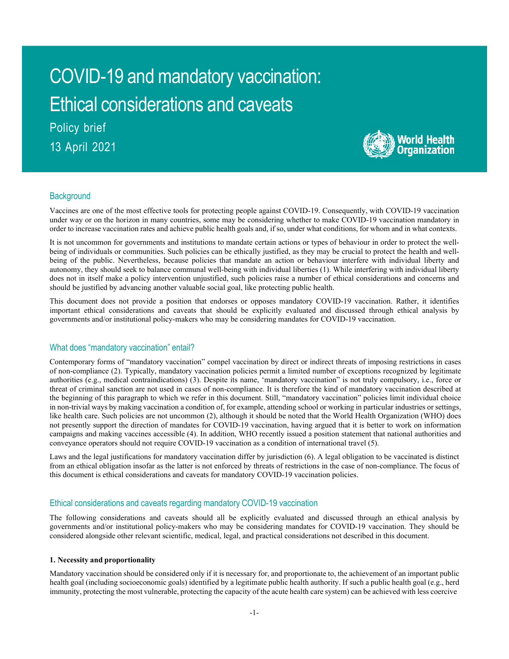# COVID-19 and mandatory vaccination: Ethical considerations and caveats Policy brief

13 April 2021



# **Background**

Vaccines are one of the most effective tools for protecting people against COVID-19. Consequently, with COVID-19 vaccination under way or on the horizon in many countries, some may be considering whether to make COVID-19 vaccination mandatory in order to increase vaccination rates and achieve public health goals and, if so, under what conditions, for whom and in what contexts.

It is not uncommon for governments and institutions to mandate certain actions or types of behaviour in order to protect the wellbeing of individuals or communities. Such policies can be ethically justified, as they may be crucial to protect the health and wellbeing of the public. Nevertheless, because policies that mandate an action or behaviour interfere with individual liberty and autonomy, they should seek to balance communal well-being with individual liberties (1). While interfering with individual liberty does not in itself make a policy intervention unjustified, such policies raise a number of ethical considerations and concerns and should be justified by advancing another valuable social goal, like protecting public health.

This document does not provide a position that endorses or opposes mandatory COVID-19 vaccination. Rather, it identifies important ethical considerations and caveats that should be explicitly evaluated and discussed through ethical analysis by governments and/or institutional policy-makers who may be considering mandates for COVID-19 vaccination.

# What does "mandatory vaccination" entail?

Contemporary forms of "mandatory vaccination" compel vaccination by direct or indirect threats of imposing restrictions in cases of non-compliance (2). Typically, mandatory vaccination policies permit a limited number of exceptions recognized by legitimate authorities (e.g., medical contraindications) (3). Despite its name, 'mandatory vaccination" is not truly compulsory, i.e., force or threat of criminal sanction are not used in cases of non-compliance. It is therefore the kind of mandatory vaccination described at the beginning of this paragraph to which we refer in this document. Still, "mandatory vaccination" policies limit individual choice in non-trivial ways by making vaccination a condition of, for example, attending school or working in particular industries or settings, like health care. Such policies are not uncommon (2), although it should be noted that the World Health Organization (WHO) does not presently support the direction of mandates for COVID-19 vaccination, having argued that it is better to work on information campaigns and making vaccines accessible (4). In addition, WHO recently issued a position statement that national authorities and conveyance operators should not require COVID-19 vaccination as a condition of international travel (5).

Laws and the legal justifications for mandatory vaccination differ by jurisdiction (6). A legal obligation to be vaccinated is distinct from an ethical obligation insofar as the latter is not enforced by threats of restrictions in the case of non-compliance. The focus of this document is ethical considerations and caveats for mandatory COVID-19 vaccination policies.

# Ethical considerations and caveats regarding mandatory COVID-19 vaccination

The following considerations and caveats should all be explicitly evaluated and discussed through an ethical analysis by governments and/or institutional policy-makers who may be considering mandates for COVID-19 vaccination. They should be considered alongside other relevant scientific, medical, legal, and practical considerations not described in this document.

## **1. Necessity and proportionality**

Mandatory vaccination should be considered only if it is necessary for, and proportionate to, the achievement of an important public health goal (including socioeconomic goals) identified by a legitimate public health authority. If such a public health goal (e.g., herd immunity, protecting the most vulnerable, protecting the capacity of the acute health care system) can be achieved with less coercive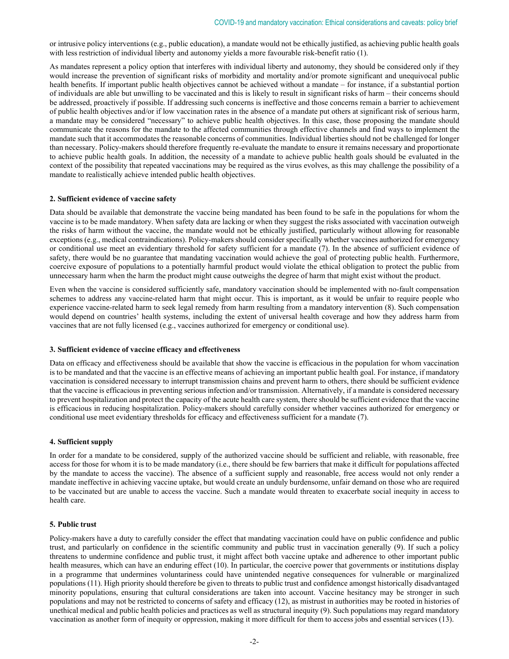or intrusive policy interventions (e.g., public education), a mandate would not be ethically justified, as achieving public health goals with less restriction of individual liberty and autonomy yields a more favourable risk-benefit ratio (1).

As mandates represent a policy option that interferes with individual liberty and autonomy, they should be considered only if they would increase the prevention of significant risks of morbidity and mortality and/or promote significant and unequivocal public health benefits. If important public health objectives cannot be achieved without a mandate – for instance, if a substantial portion of individuals are able but unwilling to be vaccinated and this is likely to result in significant risks of harm – their concerns should be addressed, proactively if possible. If addressing such concerns is ineffective and those concerns remain a barrier to achievement of public health objectives and/or if low vaccination rates in the absence of a mandate put others at significant risk of serious harm, a mandate may be considered "necessary" to achieve public health objectives. In this case, those proposing the mandate should communicate the reasons for the mandate to the affected communities through effective channels and find ways to implement the mandate such that it accommodates the reasonable concerns of communities. Individual liberties should not be challenged for longer than necessary. Policy-makers should therefore frequently re-evaluate the mandate to ensure it remains necessary and proportionate to achieve public health goals. In addition, the necessity of a mandate to achieve public health goals should be evaluated in the context of the possibility that repeated vaccinations may be required as the virus evolves, as this may challenge the possibility of a mandate to realistically achieve intended public health objectives.

## **2. Sufficient evidence of vaccine safety**

Data should be available that demonstrate the vaccine being mandated has been found to be safe in the populations for whom the vaccine is to be made mandatory. When safety data are lacking or when they suggest the risks associated with vaccination outweigh the risks of harm without the vaccine, the mandate would not be ethically justified, particularly without allowing for reasonable exceptions (e.g., medical contraindications). Policy-makers should consider specifically whether vaccines authorized for emergency or conditional use meet an evidentiary threshold for safety sufficient for a mandate (7). In the absence of sufficient evidence of safety, there would be no guarantee that mandating vaccination would achieve the goal of protecting public health. Furthermore, coercive exposure of populations to a potentially harmful product would violate the ethical obligation to protect the public from unnecessary harm when the harm the product might cause outweighs the degree of harm that might exist without the product.

Even when the vaccine is considered sufficiently safe, mandatory vaccination should be implemented with no-fault compensation schemes to address any vaccine-related harm that might occur. This is important, as it would be unfair to require people who experience vaccine-related harm to seek legal remedy from harm resulting from a mandatory intervention (8). Such compensation would depend on countries' health systems, including the extent of universal health coverage and how they address harm from vaccines that are not fully licensed (e.g., vaccines authorized for emergency or conditional use).

#### **3. Sufficient evidence of vaccine efficacy and effectiveness**

Data on efficacy and effectiveness should be available that show the vaccine is efficacious in the population for whom vaccination is to be mandated and that the vaccine is an effective means of achieving an important public health goal. For instance, if mandatory vaccination is considered necessary to interrupt transmission chains and prevent harm to others, there should be sufficient evidence that the vaccine is efficacious in preventing serious infection and/or transmission. Alternatively, if a mandate is considered necessary to prevent hospitalization and protect the capacity of the acute health care system, there should be sufficient evidence that the vaccine is efficacious in reducing hospitalization. Policy-makers should carefully consider whether vaccines authorized for emergency or conditional use meet evidentiary thresholds for efficacy and effectiveness sufficient for a mandate (7).

## **4. Sufficient supply**

In order for a mandate to be considered, supply of the authorized vaccine should be sufficient and reliable, with reasonable, free access for those for whom it is to be made mandatory (i.e., there should be few barriers that make it difficult for populations affected by the mandate to access the vaccine). The absence of a sufficient supply and reasonable, free access would not only render a mandate ineffective in achieving vaccine uptake, but would create an unduly burdensome, unfair demand on those who are required to be vaccinated but are unable to access the vaccine. Such a mandate would threaten to exacerbate social inequity in access to health care.

#### **5. Public trust**

Policy-makers have a duty to carefully consider the effect that mandating vaccination could have on public confidence and public trust, and particularly on confidence in the scientific community and public trust in vaccination generally (9). If such a policy threatens to undermine confidence and public trust, it might affect both vaccine uptake and adherence to other important public health measures, which can have an enduring effect (10). In particular, the coercive power that governments or institutions display in a programme that undermines voluntariness could have unintended negative consequences for vulnerable or marginalized populations (11). High priority should therefore be given to threats to public trust and confidence amongst historically disadvantaged minority populations, ensuring that cultural considerations are taken into account. Vaccine hesitancy may be stronger in such populations and may not be restricted to concerns of safety and efficacy (12), as mistrust in authorities may be rooted in histories of unethical medical and public health policies and practices as well as structural inequity (9). Such populations may regard mandatory vaccination as another form of inequity or oppression, making it more difficult for them to access jobs and essential services (13).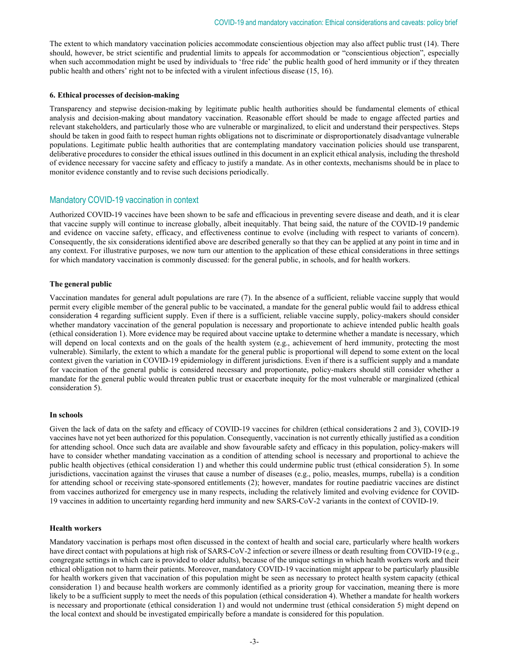The extent to which mandatory vaccination policies accommodate conscientious objection may also affect public trust (14). There should, however, be strict scientific and prudential limits to appeals for accommodation or "conscientious objection", especially when such accommodation might be used by individuals to 'free ride' the public health good of herd immunity or if they threaten public health and others' right not to be infected with a virulent infectious disease (15, 16).

## **6. Ethical processes of decision-making**

Transparency and stepwise decision-making by legitimate public health authorities should be fundamental elements of ethical analysis and decision-making about mandatory vaccination. Reasonable effort should be made to engage affected parties and relevant stakeholders, and particularly those who are vulnerable or marginalized, to elicit and understand their perspectives. Steps should be taken in good faith to respect human rights obligations not to discriminate or disproportionately disadvantage vulnerable populations. Legitimate public health authorities that are contemplating mandatory vaccination policies should use transparent, deliberative procedures to consider the ethical issues outlined in this document in an explicit ethical analysis, including the threshold of evidence necessary for vaccine safety and efficacy to justify a mandate. As in other contexts, mechanisms should be in place to monitor evidence constantly and to revise such decisions periodically.

# Mandatory COVID-19 vaccination in context

Authorized COVID-19 vaccines have been shown to be safe and efficacious in preventing severe disease and death, and it is clear that vaccine supply will continue to increase globally, albeit inequitably. That being said, the nature of the COVID-19 pandemic and evidence on vaccine safety, efficacy, and effectiveness continue to evolve (including with respect to variants of concern). Consequently, the six considerations identified above are described generally so that they can be applied at any point in time and in any context. For illustrative purposes, we now turn our attention to the application of these ethical considerations in three settings for which mandatory vaccination is commonly discussed: for the general public, in schools, and for health workers.

## **The general public**

Vaccination mandates for general adult populations are rare (7). In the absence of a sufficient, reliable vaccine supply that would permit every eligible member of the general public to be vaccinated, a mandate for the general public would fail to address ethical consideration 4 regarding sufficient supply. Even if there is a sufficient, reliable vaccine supply, policy-makers should consider whether mandatory vaccination of the general population is necessary and proportionate to achieve intended public health goals (ethical consideration 1). More evidence may be required about vaccine uptake to determine whether a mandate is necessary, which will depend on local contexts and on the goals of the health system (e.g., achievement of herd immunity, protecting the most vulnerable). Similarly, the extent to which a mandate for the general public is proportional will depend to some extent on the local context given the variation in COVID-19 epidemiology in different jurisdictions. Even if there is a sufficient supply and a mandate for vaccination of the general public is considered necessary and proportionate, policy-makers should still consider whether a mandate for the general public would threaten public trust or exacerbate inequity for the most vulnerable or marginalized (ethical consideration 5).

## **In schools**

Given the lack of data on the safety and efficacy of COVID-19 vaccines for children (ethical considerations 2 and 3), COVID-19 vaccines have not yet been authorized for this population. Consequently, vaccination is not currently ethically justified as a condition for attending school. Once such data are available and show favourable safety and efficacy in this population, policy-makers will have to consider whether mandating vaccination as a condition of attending school is necessary and proportional to achieve the public health objectives (ethical consideration 1) and whether this could undermine public trust (ethical consideration 5). In some jurisdictions, vaccination against the viruses that cause a number of diseases (e.g., polio, measles, mumps, rubella) is a condition for attending school or receiving state-sponsored entitlements (2); however, mandates for routine paediatric vaccines are distinct from vaccines authorized for emergency use in many respects, including the relatively limited and evolving evidence for COVID-19 vaccines in addition to uncertainty regarding herd immunity and new SARS-CoV-2 variants in the context of COVID-19.

## **Health workers**

Mandatory vaccination is perhaps most often discussed in the context of health and social care, particularly where health workers have direct contact with populations at high risk of SARS-CoV-2 infection or severe illness or death resulting from COVID-19 (e.g., congregate settings in which care is provided to older adults), because of the unique settings in which health workers work and their ethical obligation not to harm their patients. Moreover, mandatory COVID-19 vaccination might appear to be particularly plausible for health workers given that vaccination of this population might be seen as necessary to protect health system capacity (ethical consideration 1) and because health workers are commonly identified as a priority group for vaccination, meaning there is more likely to be a sufficient supply to meet the needs of this population (ethical consideration 4). Whether a mandate for health workers is necessary and proportionate (ethical consideration 1) and would not undermine trust (ethical consideration 5) might depend on the local context and should be investigated empirically before a mandate is considered for this population.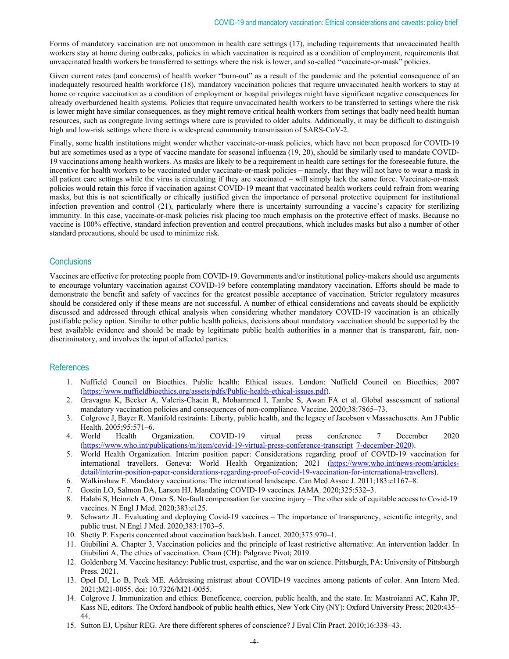Forms of mandatory vaccination are not uncommon in health care settings (17), including requirements that unvaccinated health workers stay at home during outbreaks, policies in which vaccination is required as a condition of employment, requirements that unvaccinated health workers be transferred to settings where the risk is lower, and so-called "vaccinate-or-mask" policies.

Given current rates (and concerns) of health worker "burn-out" as a result of the pandemic and the potential consequence of an inadequately resourced health workforce (18), mandatory vaccination policies that require unvaccinated health workers to stay at home or require vaccination as a condition of employment or hospital privileges might have significant negative consequences for already overburdened health systems. Policies that require unvaccinated health workers to be transferred to settings where the risk is lower might have similar consequences, as they might remove critical health workers from settings that badly need health human resources, such as congregate living settings where care is provided to older adults. Additionally, it may be difficult to distinguish high and low-risk settings where there is widespread community transmission of SARS-CoV-2.

Finally, some health institutions might wonder whether vaccinate-or-mask policies, which have not been proposed for COVID-19 but are sometimes used as a type of vaccine mandate for seasonal influenza (19, 20), should be similarly used to mandate COVID-19 vaccinations among health workers. As masks are likely to be a requirement in health care settings for the foreseeable future, the incentive for health workers to be vaccinated under vaccinate-or-mask policies – namely, that they will not have to wear a mask in all patient care settings while the virus is circulating if they are vaccinated – will simply lack the same force. Vaccinate-or-mask policies would retain this force if vaccination against COVID-19 meant that vaccinated health workers could refrain from wearing masks, but this is not scientifically or ethically justified given the importance of personal protective equipment for institutional infection prevention and control (21), particularly where there is uncertainty surrounding a vaccine's capacity for sterilizing immunity. In this case, vaccinate-or-mask policies risk placing too much emphasis on the protective effect of masks. Because no vaccine is 100% effective, standard infection prevention and control precautions, which includes masks but also a number of other standard precautions, should be used to minimize risk.

## **Conclusions**

Vaccines are effective for protecting people from COVID-19. Governments and/or institutional policy-makers should use arguments to encourage voluntary vaccination against COVID-19 before contemplating mandatory vaccination. Efforts should be made to demonstrate the benefit and safety of vaccines for the greatest possible acceptance of vaccination. Stricter regulatory measures should be considered only if these means are not successful. A number of ethical considerations and caveats should be explicitly discussed and addressed through ethical analysis when considering whether mandatory COVID-19 vaccination is an ethically justifiable policy option. Similar to other public health policies, decisions about mandatory vaccination should be supported by the best available evidence and should be made by legitimate public health authorities in a manner that is transparent, fair, nondiscriminatory, and involves the input of affected parties.

## **References**

- 1. Nuffield Council on Bioethics. Public health: Ethical issues. London: Nuffield Council on Bioethics; 2007 (https://www.nuffieldbioethics.org/assets/pdfs/Public-health-ethical-issues.pdf).
- 2. Gravagna K, Becker A, Valeris-Chacin R, Mohammed I, Tambe S, Awan FA et al. Global assessment of national mandatory vaccination policies and consequences of non-compliance. Vaccine. 2020;38:7865–73.
- 3. Colgrove J, Bayer R. Manifold restraints: Liberty, public health, and the legacy of Jacobson v Massachusetts. Am J Public Health. 2005;95:571–6.
- 4. World Health Organization. COVID-19 virtual press conference 7 December 2020 (https://www.who.int/publications/m/item/covid-19-virtual-press-conference-transcript 7-december-2020).
- 5. World Health Organization. Interim position paper: Considerations regarding proof of COVID-19 vaccination for international travellers. Geneva: World Health Organization; 2021 (https://www.who.int/news-room/articlesdetail/interim-position-paper-considerations-regarding-proof-of-covid-19-vaccination-for-international-travellers).
- 6. Walkinshaw E. Mandatory vaccinations: The international landscape. Can Med Assoc J. 2011;183:e1167–8.
- 7. Gostin LO, Salmon DA, Larson HJ. Mandating COVID-19 vaccines. JAMA. 2020;325:532–3.
- 8. Halabi S, Heinrich A, Omer S. No-fault compensation for vaccine injury The other side of equitable access to Covid-19 vaccines. N Engl J Med. 2020;383:e125.
- 9. Schwartz JL. Evaluating and deploying Covid-19 vaccines The importance of transparency, scientific integrity, and public trust. N Engl J Med. 2020;383:1703–5.
- 10. Shetty P. Experts concerned about vaccination backlash. Lancet. 2020;375:970–1.
- 11. Giubilini A. Chapter 3, Vaccination policies and the principle of least restrictive alternative: An intervention ladder. In Giubilini A, The ethics of vaccination. Cham (CH): Palgrave Pivot; 2019.
- 12. Goldenberg M. Vaccine hesitancy: Public trust, expertise, and the war on science. Pittsburgh, PA: University of Pittsburgh Press. 2021.
- 13. Opel DJ, Lo B, Peek ME. Addressing mistrust about COVID-19 vaccines among patients of color. Ann Intern Med. 2021;M21-0055. doi: 10.7326/M21-0055.
- 14. Colgrove J. Immunization and ethics: Beneficence, coercion, public health, and the state. In: Mastroianni AC, Kahn JP, Kass NE, editors. The Oxford handbook of public health ethics, New York City (NY): Oxford University Press; 2020:435– 44.
- 15. Sutton EJ, Upshur REG. Are there different spheres of conscience? J Eval Clin Pract. 2010;16:338–43.